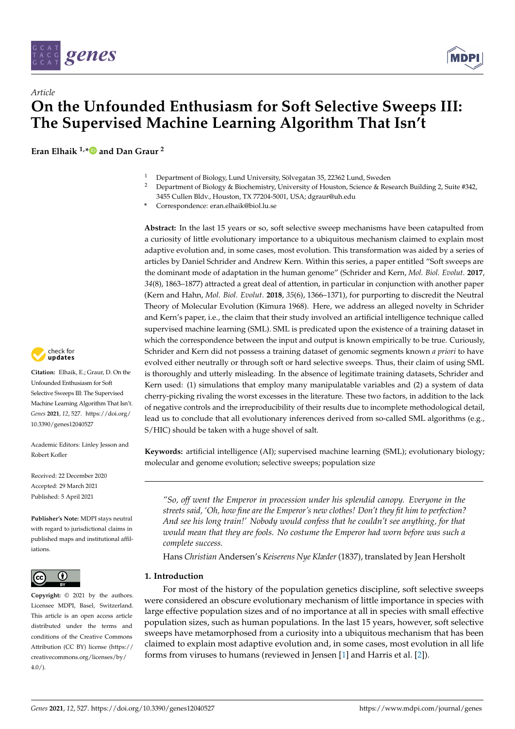

# *Article* **On the Unfounded Enthusiasm for Soft Selective Sweeps III: The Supervised Machine Learning Algorithm That Isn't**

**Eran Elhaik 1,[\\*](https://orcid.org/0000-0003-4795-1084) and Dan Graur <sup>2</sup>**

- <sup>1</sup> Department of Biology, Lund University, Sölvegatan 35, 22362 Lund, Sweden<br><sup>2</sup> Department of Biology & Biochamictus University of Hausten, Ssignes & Bea
- <sup>2</sup> Department of Biology & Biochemistry, University of Houston, Science & Research Building 2, Suite #342, 3455 Cullen Bldv., Houston, TX 77204-5001, USA; dgraur@uh.edu
- **\*** Correspondence: eran.elhaik@biol.lu.se

**Abstract:** In the last 15 years or so, soft selective sweep mechanisms have been catapulted from a curiosity of little evolutionary importance to a ubiquitous mechanism claimed to explain most adaptive evolution and, in some cases, most evolution. This transformation was aided by a series of articles by Daniel Schrider and Andrew Kern. Within this series, a paper entitled "Soft sweeps are the dominant mode of adaptation in the human genome" (Schrider and Kern, *Mol. Biol. Evolut*. **2017**, *34*(8), 1863–1877) attracted a great deal of attention, in particular in conjunction with another paper (Kern and Hahn, *Mol. Biol. Evolut*. **2018**, *35*(6), 1366–1371), for purporting to discredit the Neutral Theory of Molecular Evolution (Kimura 1968). Here, we address an alleged novelty in Schrider and Kern's paper, i.e., the claim that their study involved an artificial intelligence technique called supervised machine learning (SML). SML is predicated upon the existence of a training dataset in which the correspondence between the input and output is known empirically to be true. Curiously, Schrider and Kern did not possess a training dataset of genomic segments known *a priori* to have evolved either neutrally or through soft or hard selective sweeps. Thus, their claim of using SML is thoroughly and utterly misleading. In the absence of legitimate training datasets, Schrider and Kern used: (1) simulations that employ many manipulatable variables and (2) a system of data cherry-picking rivaling the worst excesses in the literature. These two factors, in addition to the lack of negative controls and the irreproducibility of their results due to incomplete methodological detail, lead us to conclude that all evolutionary inferences derived from so-called SML algorithms (e.g., S/HIC) should be taken with a huge shovel of salt.

**Keywords:** artificial intelligence (AI); supervised machine learning (SML); evolutionary biology; molecular and genome evolution; selective sweeps; population size

*"So, off went the Emperor in procession under his splendid canopy. Everyone in the streets said, 'Oh, how fine are the Emperor's new clothes! Don't they fit him to perfection? And see his long train!' Nobody would confess that he couldn't see anything, for that would mean that they are fools. No costume the Emperor had worn before was such a complete success.*

Hans *Christian* Andersen's *Keiserens Nye Klæder* (1837), translated by Jean Hersholt

## **1. Introduction**

For most of the history of the population genetics discipline, soft selective sweeps were considered an obscure evolutionary mechanism of little importance in species with large effective population sizes and of no importance at all in species with small effective population sizes, such as human populations. In the last 15 years, however, soft selective sweeps have metamorphosed from a curiosity into a ubiquitous mechanism that has been claimed to explain most adaptive evolution and, in some cases, most evolution in all life forms from viruses to humans (reviewed in Jensen [\[1\]](#page-11-0) and Harris et al. [\[2\]](#page-11-1)).



**Citation:** Elhaik, E.; Graur, D. On the Unfounded Enthusiasm for Soft Selective Sweeps III: The Supervised Machine Learning Algorithm That Isn't. *Genes* **2021**, *12*, 527. [https://doi.org/](https://doi.org/10.3390/genes12040527) [10.3390/genes12040527](https://doi.org/10.3390/genes12040527)

Academic Editors: Linley Jesson and Robert Kofler

Received: 22 December 2020 Accepted: 29 March 2021 Published: 5 April 2021

**Publisher's Note:** MDPI stays neutral with regard to jurisdictional claims in published maps and institutional affiliations.



**Copyright:** © 2021 by the authors. Licensee MDPI, Basel, Switzerland. This article is an open access article distributed under the terms and conditions of the Creative Commons Attribution (CC BY) license (https:/[/](https://creativecommons.org/licenses/by/4.0/) [creativecommons.org/licenses/by/](https://creativecommons.org/licenses/by/4.0/)  $4.0/$ ).

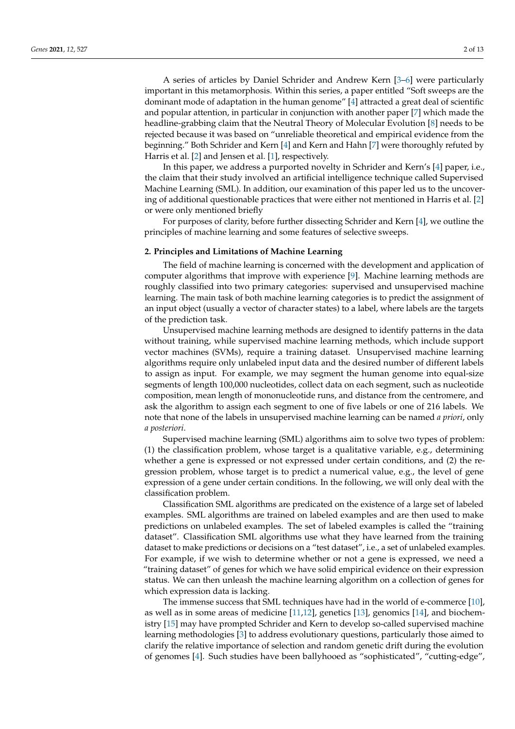A series of articles by Daniel Schrider and Andrew Kern [\[3–](#page-11-2)[6\]](#page-11-3) were particularly important in this metamorphosis. Within this series, a paper entitled "Soft sweeps are the dominant mode of adaptation in the human genome" [\[4\]](#page-11-4) attracted a great deal of scientific and popular attention, in particular in conjunction with another paper [\[7\]](#page-11-5) which made the headline-grabbing claim that the Neutral Theory of Molecular Evolution [\[8\]](#page-11-6) needs to be rejected because it was based on "unreliable theoretical and empirical evidence from the beginning." Both Schrider and Kern [\[4\]](#page-11-4) and Kern and Hahn [\[7\]](#page-11-5) were thoroughly refuted by Harris et al. [\[2\]](#page-11-1) and Jensen et al. [\[1\]](#page-11-0), respectively.

In this paper, we address a purported novelty in Schrider and Kern's [\[4\]](#page-11-4) paper, i.e., the claim that their study involved an artificial intelligence technique called Supervised Machine Learning (SML). In addition, our examination of this paper led us to the uncovering of additional questionable practices that were either not mentioned in Harris et al. [\[2\]](#page-11-1) or were only mentioned briefly

For purposes of clarity, before further dissecting Schrider and Kern [\[4\]](#page-11-4), we outline the principles of machine learning and some features of selective sweeps.

#### **2. Principles and Limitations of Machine Learning**

The field of machine learning is concerned with the development and application of computer algorithms that improve with experience [\[9\]](#page-11-7). Machine learning methods are roughly classified into two primary categories: supervised and unsupervised machine learning. The main task of both machine learning categories is to predict the assignment of an input object (usually a vector of character states) to a label, where labels are the targets of the prediction task.

Unsupervised machine learning methods are designed to identify patterns in the data without training, while supervised machine learning methods, which include support vector machines (SVMs), require a training dataset. Unsupervised machine learning algorithms require only unlabeled input data and the desired number of different labels to assign as input. For example, we may segment the human genome into equal-size segments of length 100,000 nucleotides, collect data on each segment, such as nucleotide composition, mean length of mononucleotide runs, and distance from the centromere, and ask the algorithm to assign each segment to one of five labels or one of 216 labels. We note that none of the labels in unsupervised machine learning can be named *a priori*, only *a posteriori*.

Supervised machine learning (SML) algorithms aim to solve two types of problem: (1) the classification problem, whose target is a qualitative variable, e.g., determining whether a gene is expressed or not expressed under certain conditions, and (2) the regression problem, whose target is to predict a numerical value, e.g., the level of gene expression of a gene under certain conditions. In the following, we will only deal with the classification problem.

Classification SML algorithms are predicated on the existence of a large set of labeled examples. SML algorithms are trained on labeled examples and are then used to make predictions on unlabeled examples. The set of labeled examples is called the "training dataset". Classification SML algorithms use what they have learned from the training dataset to make predictions or decisions on a "test dataset", i.e., a set of unlabeled examples. For example, if we wish to determine whether or not a gene is expressed, we need a "training dataset" of genes for which we have solid empirical evidence on their expression status. We can then unleash the machine learning algorithm on a collection of genes for which expression data is lacking.

The immense success that SML techniques have had in the world of e-commerce [\[10\]](#page-11-8), as well as in some areas of medicine [\[11,](#page-11-9)[12\]](#page-11-10), genetics [\[13\]](#page-11-11), genomics [\[14\]](#page-11-12), and biochemistry [\[15\]](#page-11-13) may have prompted Schrider and Kern to develop so-called supervised machine learning methodologies [\[3\]](#page-11-2) to address evolutionary questions, particularly those aimed to clarify the relative importance of selection and random genetic drift during the evolution of genomes [\[4\]](#page-11-4). Such studies have been ballyhooed as "sophisticated", "cutting-edge",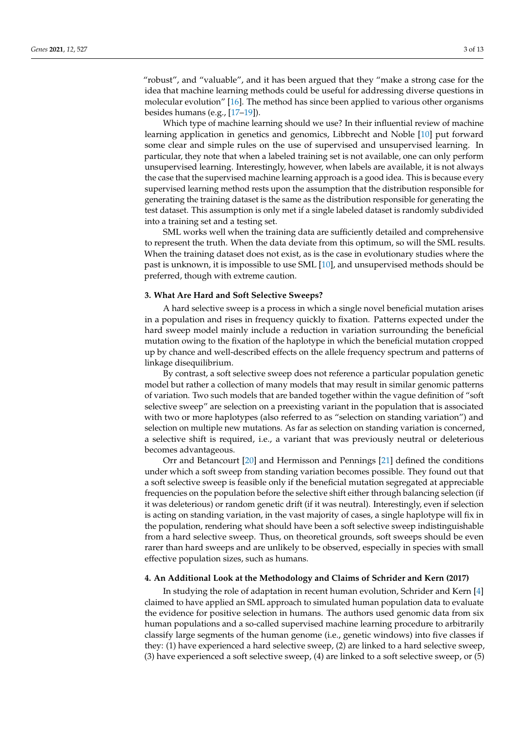"robust", and "valuable", and it has been argued that they "make a strong case for the idea that machine learning methods could be useful for addressing diverse questions in molecular evolution" [\[16\]](#page-11-14). The method has since been applied to various other organisms besides humans (e.g., [\[17](#page-11-15)[–19\]](#page-11-16)).

Which type of machine learning should we use? In their influential review of machine learning application in genetics and genomics, Libbrecht and Noble [\[10\]](#page-11-8) put forward some clear and simple rules on the use of supervised and unsupervised learning. In particular, they note that when a labeled training set is not available, one can only perform unsupervised learning. Interestingly, however, when labels are available, it is not always the case that the supervised machine learning approach is a good idea. This is because every supervised learning method rests upon the assumption that the distribution responsible for generating the training dataset is the same as the distribution responsible for generating the test dataset. This assumption is only met if a single labeled dataset is randomly subdivided into a training set and a testing set.

SML works well when the training data are sufficiently detailed and comprehensive to represent the truth. When the data deviate from this optimum, so will the SML results. When the training dataset does not exist, as is the case in evolutionary studies where the past is unknown, it is impossible to use SML [\[10\]](#page-11-8), and unsupervised methods should be preferred, though with extreme caution.

#### **3. What Are Hard and Soft Selective Sweeps?**

A hard selective sweep is a process in which a single novel beneficial mutation arises in a population and rises in frequency quickly to fixation. Patterns expected under the hard sweep model mainly include a reduction in variation surrounding the beneficial mutation owing to the fixation of the haplotype in which the beneficial mutation cropped up by chance and well-described effects on the allele frequency spectrum and patterns of linkage disequilibrium.

By contrast, a soft selective sweep does not reference a particular population genetic model but rather a collection of many models that may result in similar genomic patterns of variation. Two such models that are banded together within the vague definition of "soft selective sweep" are selection on a preexisting variant in the population that is associated with two or more haplotypes (also referred to as "selection on standing variation") and selection on multiple new mutations. As far as selection on standing variation is concerned, a selective shift is required, i.e., a variant that was previously neutral or deleterious becomes advantageous.

Orr and Betancourt [\[20\]](#page-11-17) and Hermisson and Pennings [\[21\]](#page-11-18) defined the conditions under which a soft sweep from standing variation becomes possible. They found out that a soft selective sweep is feasible only if the beneficial mutation segregated at appreciable frequencies on the population before the selective shift either through balancing selection (if it was deleterious) or random genetic drift (if it was neutral). Interestingly, even if selection is acting on standing variation, in the vast majority of cases, a single haplotype will fix in the population, rendering what should have been a soft selective sweep indistinguishable from a hard selective sweep. Thus, on theoretical grounds, soft sweeps should be even rarer than hard sweeps and are unlikely to be observed, especially in species with small effective population sizes, such as humans.

# **4. An Additional Look at the Methodology and Claims of Schrider and Kern (2017)**

In studying the role of adaptation in recent human evolution, Schrider and Kern [\[4\]](#page-11-4) claimed to have applied an SML approach to simulated human population data to evaluate the evidence for positive selection in humans. The authors used genomic data from six human populations and a so-called supervised machine learning procedure to arbitrarily classify large segments of the human genome (i.e., genetic windows) into five classes if they: (1) have experienced a hard selective sweep, (2) are linked to a hard selective sweep, (3) have experienced a soft selective sweep, (4) are linked to a soft selective sweep, or (5)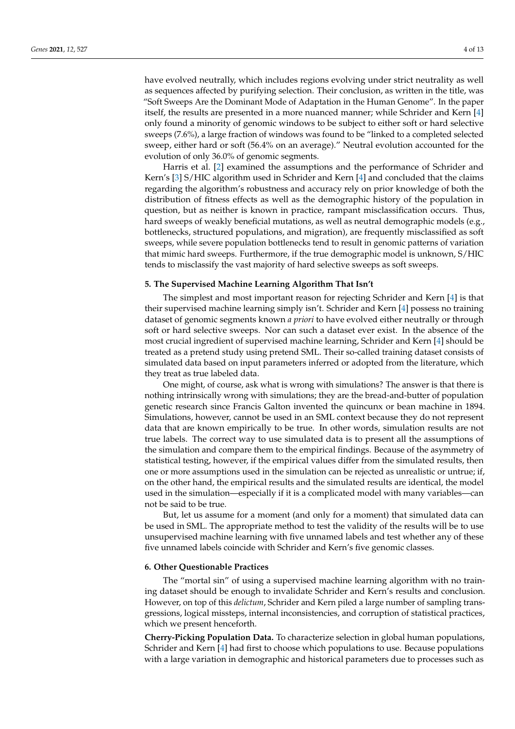have evolved neutrally, which includes regions evolving under strict neutrality as well as sequences affected by purifying selection. Their conclusion, as written in the title, was "Soft Sweeps Are the Dominant Mode of Adaptation in the Human Genome". In the paper itself, the results are presented in a more nuanced manner; while Schrider and Kern [\[4\]](#page-11-4) only found a minority of genomic windows to be subject to either soft or hard selective sweeps (7.6%), a large fraction of windows was found to be "linked to a completed selected sweep, either hard or soft (56.4% on an average)." Neutral evolution accounted for the evolution of only 36.0% of genomic segments.

Harris et al. [\[2\]](#page-11-1) examined the assumptions and the performance of Schrider and Kern's [\[3\]](#page-11-2) S/HIC algorithm used in Schrider and Kern [\[4\]](#page-11-4) and concluded that the claims regarding the algorithm's robustness and accuracy rely on prior knowledge of both the distribution of fitness effects as well as the demographic history of the population in question, but as neither is known in practice, rampant misclassification occurs. Thus, hard sweeps of weakly beneficial mutations, as well as neutral demographic models (e.g., bottlenecks, structured populations, and migration), are frequently misclassified as soft sweeps, while severe population bottlenecks tend to result in genomic patterns of variation that mimic hard sweeps. Furthermore, if the true demographic model is unknown, S/HIC tends to misclassify the vast majority of hard selective sweeps as soft sweeps.

## **5. The Supervised Machine Learning Algorithm That Isn't**

The simplest and most important reason for rejecting Schrider and Kern [\[4\]](#page-11-4) is that their supervised machine learning simply isn't. Schrider and Kern [\[4\]](#page-11-4) possess no training dataset of genomic segments known *a priori* to have evolved either neutrally or through soft or hard selective sweeps. Nor can such a dataset ever exist. In the absence of the most crucial ingredient of supervised machine learning, Schrider and Kern [\[4\]](#page-11-4) should be treated as a pretend study using pretend SML. Their so-called training dataset consists of simulated data based on input parameters inferred or adopted from the literature, which they treat as true labeled data.

One might, of course, ask what is wrong with simulations? The answer is that there is nothing intrinsically wrong with simulations; they are the bread-and-butter of population genetic research since Francis Galton invented the quincunx or bean machine in 1894. Simulations, however, cannot be used in an SML context because they do not represent data that are known empirically to be true. In other words, simulation results are not true labels. The correct way to use simulated data is to present all the assumptions of the simulation and compare them to the empirical findings. Because of the asymmetry of statistical testing, however, if the empirical values differ from the simulated results, then one or more assumptions used in the simulation can be rejected as unrealistic or untrue; if, on the other hand, the empirical results and the simulated results are identical, the model used in the simulation—especially if it is a complicated model with many variables—can not be said to be true.

But, let us assume for a moment (and only for a moment) that simulated data can be used in SML. The appropriate method to test the validity of the results will be to use unsupervised machine learning with five unnamed labels and test whether any of these five unnamed labels coincide with Schrider and Kern's five genomic classes.

#### **6. Other Questionable Practices**

The "mortal sin" of using a supervised machine learning algorithm with no training dataset should be enough to invalidate Schrider and Kern's results and conclusion. However, on top of this *delictum*, Schrider and Kern piled a large number of sampling transgressions, logical missteps, internal inconsistencies, and corruption of statistical practices, which we present henceforth.

**Cherry-Picking Population Data.** To characterize selection in global human populations, Schrider and Kern [\[4\]](#page-11-4) had first to choose which populations to use. Because populations with a large variation in demographic and historical parameters due to processes such as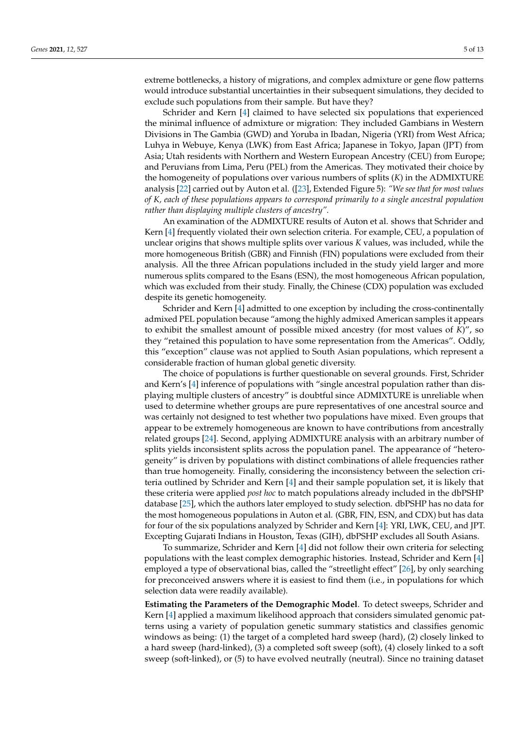extreme bottlenecks, a history of migrations, and complex admixture or gene flow patterns would introduce substantial uncertainties in their subsequent simulations, they decided to exclude such populations from their sample. But have they?

Schrider and Kern [\[4\]](#page-11-4) claimed to have selected six populations that experienced the minimal influence of admixture or migration: They included Gambians in Western Divisions in The Gambia (GWD) and Yoruba in Ibadan, Nigeria (YRI) from West Africa; Luhya in Webuye, Kenya (LWK) from East Africa; Japanese in Tokyo, Japan (JPT) from Asia; Utah residents with Northern and Western European Ancestry (CEU) from Europe; and Peruvians from Lima, Peru (PEL) from the Americas. They motivated their choice by the homogeneity of populations over various numbers of splits (*K*) in the ADMIXTURE analysis [\[22\]](#page-11-19) carried out by Auton et al. ([\[23\]](#page-11-20), Extended Figure 5): *"We see that for most values of K, each of these populations appears to correspond primarily to a single ancestral population rather than displaying multiple clusters of ancestry".*

An examination of the ADMIXTURE results of Auton et al. shows that Schrider and Kern [\[4\]](#page-11-4) frequently violated their own selection criteria. For example, CEU, a population of unclear origins that shows multiple splits over various *K* values, was included, while the more homogeneous British (GBR) and Finnish (FIN) populations were excluded from their analysis. All the three African populations included in the study yield larger and more numerous splits compared to the Esans (ESN), the most homogeneous African population, which was excluded from their study. Finally, the Chinese (CDX) population was excluded despite its genetic homogeneity.

Schrider and Kern [\[4\]](#page-11-4) admitted to one exception by including the cross-continentally admixed PEL population because "among the highly admixed American samples it appears to exhibit the smallest amount of possible mixed ancestry (for most values of *K*)", so they "retained this population to have some representation from the Americas". Oddly, this "exception" clause was not applied to South Asian populations, which represent a considerable fraction of human global genetic diversity.

The choice of populations is further questionable on several grounds. First, Schrider and Kern's [\[4\]](#page-11-4) inference of populations with "single ancestral population rather than displaying multiple clusters of ancestry" is doubtful since ADMIXTURE is unreliable when used to determine whether groups are pure representatives of one ancestral source and was certainly not designed to test whether two populations have mixed. Even groups that appear to be extremely homogeneous are known to have contributions from ancestrally related groups [\[24\]](#page-11-21). Second, applying ADMIXTURE analysis with an arbitrary number of splits yields inconsistent splits across the population panel. The appearance of "heterogeneity" is driven by populations with distinct combinations of allele frequencies rather than true homogeneity. Finally, considering the inconsistency between the selection criteria outlined by Schrider and Kern [\[4\]](#page-11-4) and their sample population set, it is likely that these criteria were applied *post hoc* to match populations already included in the dbPSHP database [\[25\]](#page-11-22), which the authors later employed to study selection. dbPSHP has no data for the most homogeneous populations in Auton et al. (GBR, FIN, ESN, and CDX) but has data for four of the six populations analyzed by Schrider and Kern [\[4\]](#page-11-4): YRI, LWK, CEU, and JPT. Excepting Gujarati Indians in Houston, Texas (GIH), dbPSHP excludes all South Asians.

To summarize, Schrider and Kern [\[4\]](#page-11-4) did not follow their own criteria for selecting populations with the least complex demographic histories. Instead, Schrider and Kern [\[4\]](#page-11-4) employed a type of observational bias, called the "streetlight effect" [\[26\]](#page-12-0), by only searching for preconceived answers where it is easiest to find them (i.e., in populations for which selection data were readily available).

**Estimating the Parameters of the Demographic Model**. To detect sweeps, Schrider and Kern [\[4\]](#page-11-4) applied a maximum likelihood approach that considers simulated genomic patterns using a variety of population genetic summary statistics and classifies genomic windows as being: (1) the target of a completed hard sweep (hard), (2) closely linked to a hard sweep (hard-linked), (3) a completed soft sweep (soft), (4) closely linked to a soft sweep (soft-linked), or (5) to have evolved neutrally (neutral). Since no training dataset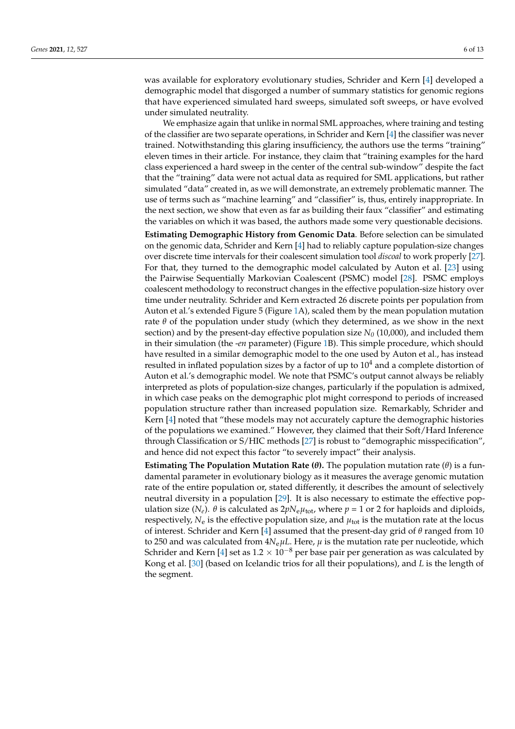was available for exploratory evolutionary studies, Schrider and Kern [\[4\]](#page-11-4) developed a demographic model that disgorged a number of summary statistics for genomic regions that have experienced simulated hard sweeps, simulated soft sweeps, or have evolved under simulated neutrality.

We emphasize again that unlike in normal SML approaches, where training and testing of the classifier are two separate operations, in Schrider and Kern [\[4\]](#page-11-4) the classifier was never trained. Notwithstanding this glaring insufficiency, the authors use the terms "training" eleven times in their article. For instance, they claim that "training examples for the hard class experienced a hard sweep in the center of the central sub-window" despite the fact that the "training" data were not actual data as required for SML applications, but rather simulated "data" created in, as we will demonstrate, an extremely problematic manner. The use of terms such as "machine learning" and "classifier" is, thus, entirely inappropriate. In the next section, we show that even as far as building their faux "classifier" and estimating the variables on which it was based, the authors made some very questionable decisions.

**Estimating Demographic History from Genomic Data**. Before selection can be simulated on the genomic data, Schrider and Kern [\[4\]](#page-11-4) had to reliably capture population-size changes over discrete time intervals for their coalescent simulation tool *discoal* to work properly [\[27\]](#page-12-1). For that, they turned to the demographic model calculated by Auton et al. [\[23\]](#page-11-20) using the Pairwise Sequentially Markovian Coalescent (PSMC) model [\[28\]](#page-12-2). PSMC employs coalescent methodology to reconstruct changes in the effective population-size history over time under neutrality. Schrider and Kern extracted 26 discrete points per population from Auton et al.'s extended Figure 5 (Figure [1A](#page-6-0)), scaled them by the mean population mutation rate  $\theta$  of the population under study (which they determined, as we show in the next section) and by the present-day effective population size  $N_0$  (10,000), and included them in their simulation (the -*en* parameter) (Figure [1B](#page-6-0)). This simple procedure, which should have resulted in a similar demographic model to the one used by Auton et al., has instead resulted in inflated population sizes by a factor of up to  $10<sup>4</sup>$  and a complete distortion of Auton et al.'s demographic model. We note that PSMC's output cannot always be reliably interpreted as plots of population-size changes, particularly if the population is admixed, in which case peaks on the demographic plot might correspond to periods of increased population structure rather than increased population size. Remarkably, Schrider and Kern [\[4\]](#page-11-4) noted that "these models may not accurately capture the demographic histories of the populations we examined." However, they claimed that their Soft/Hard Inference through Classification or S/HIC methods [\[27\]](#page-12-1) is robust to "demographic misspecification", and hence did not expect this factor "to severely impact" their analysis.

**Estimating The Population Mutation Rate (***θ***).** The population mutation rate (*θ*) is a fundamental parameter in evolutionary biology as it measures the average genomic mutation rate of the entire population or, stated differently, it describes the amount of selectively neutral diversity in a population [\[29\]](#page-12-3). It is also necessary to estimate the effective population size ( $N_e$ ).  $\theta$  is calculated as  $2pN_e\mu_{\text{tot}}$ , where  $p = 1$  or 2 for haploids and diploids, respectively,  $N_e$  is the effective population size, and  $\mu_{\text{tot}}$  is the mutation rate at the locus of interest. Schrider and Kern [\[4\]](#page-11-4) assumed that the present-day grid of *θ* ranged from 10 to 250 and was calculated from  $4N_e\mu$ *L*. Here,  $\mu$  is the mutation rate per nucleotide, which Schrider and Kern [\[4\]](#page-11-4) set as  $1.2 \times 10^{-8}$  per base pair per generation as was calculated by Kong et al. [\[30\]](#page-12-4) (based on Icelandic trios for all their populations), and *L* is the length of the segment.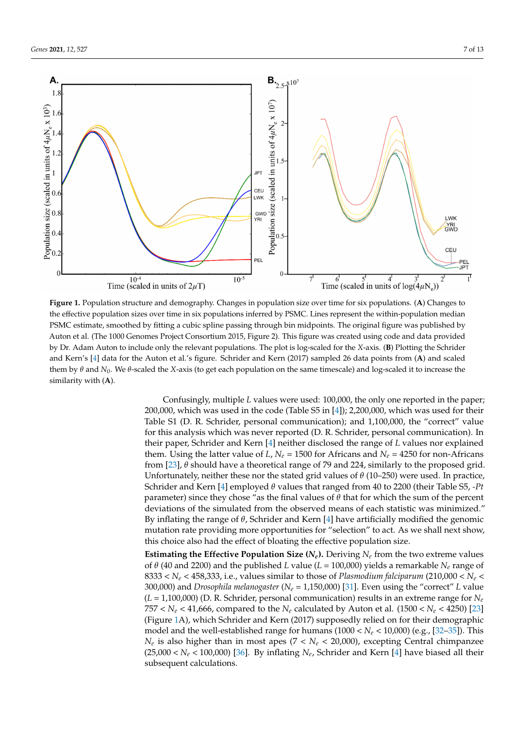<span id="page-6-0"></span>

**Figure 1.** Population structure and demography. Changes in population size over time for six populations. (**A**) Changes to the effective population sizes over time in six populations inferred by PSMC. Lines represent the within-population median PSMC estimate, smoothed by fitting a cubic spline passing through bin midpoints. The original figure was published by Auton et al. (The 1000 Genomes Project Consortium 2015, Figure 2). This figure was created using code and data provided by Dr. Adam Auton to include only the relevant populations. The plot is log-scaled for the *X*-axis. (**B**) Plotting the Schrider and Kern's [\[4\]](#page-11-4) data for the Auton et al.'s figure. Schrider and Kern (2017) sampled 26 data points from (**A**) and scaled them by *θ* and *N<sup>0</sup>* . We *θ*-scaled the *X*-axis (to get each population on the same timescale) and log-scaled it to increase the similarity with (**A**).

Confusingly, multiple *L* values were used: 100,000, the only one reported in the paper; 200,000, which was used in the code (Table S5 in [\[4\]](#page-11-4)); 2,200,000, which was used for their Table S1 (D. R. Schrider, personal communication); and 1,100,000, the "correct" value for this analysis which was never reported (D. R. Schrider, personal communication). In their paper, Schrider and Kern [\[4\]](#page-11-4) neither disclosed the range of *L* values nor explained them. Using the latter value of *L*,  $N_e$  = 1500 for Africans and  $N_e$  = 4250 for non-Africans from [\[23\]](#page-11-20), *θ* should have a theoretical range of 79 and 224, similarly to the proposed grid. Unfortunately, neither these nor the stated grid values of *θ* (10–250) were used. In practice, Schrider and Kern [\[4\]](#page-11-4) employed *θ* values that ranged from 40 to 2200 (their Table S5, *-Pt* parameter) since they chose "as the final values of  $\theta$  that for which the sum of the percent deviations of the simulated from the observed means of each statistic was minimized." By inflating the range of *θ*, Schrider and Kern [\[4\]](#page-11-4) have artificially modified the genomic mutation rate providing more opportunities for "selection" to act. As we shall next show, this choice also had the effect of bloating the effective population size.

**Estimating the Effective Population Size**  $(N_e)$ **.** Deriving  $N_e$  from the two extreme values of *θ* (40 and 2200) and the published *L* value (*L* = 100,000) yields a remarkable *N<sup>e</sup>* range of 8333 <  $N_e$  < 458,333, i.e., values similar to those of *Plasmodium falciparum* (210,000 <  $N_e$  < 300,000) and *Drosophila melanogaster* (*N<sup>e</sup>* = 1,150,000) [\[31\]](#page-12-5). Even using the "correct" *L* value  $(L = 1,100,000)$  (D. R. Schrider, personal communication) results in an extreme range for  $N_e$ 757  $< N_e < 41,666$ , compared to the  $N_e$  calculated by Auton et al. (1500  $< N_e < 4250$ ) [\[23\]](#page-11-20) (Figure [1A](#page-6-0)), which Schrider and Kern (2017) supposedly relied on for their demographic model and the well-established range for humans (1000 < *N<sup>e</sup>* < 10,000) (e.g., [\[32](#page-12-6)[–35\]](#page-12-7)). This *Ne* is also higher than in most apes (7 < *N<sup>e</sup>* < 20,000), excepting Central chimpanzee  $(25,000 < N_e < 100,000)$  [\[36\]](#page-12-8). By inflating  $N_e$ , Schrider and Kern [\[4\]](#page-11-4) have biased all their subsequent calculations.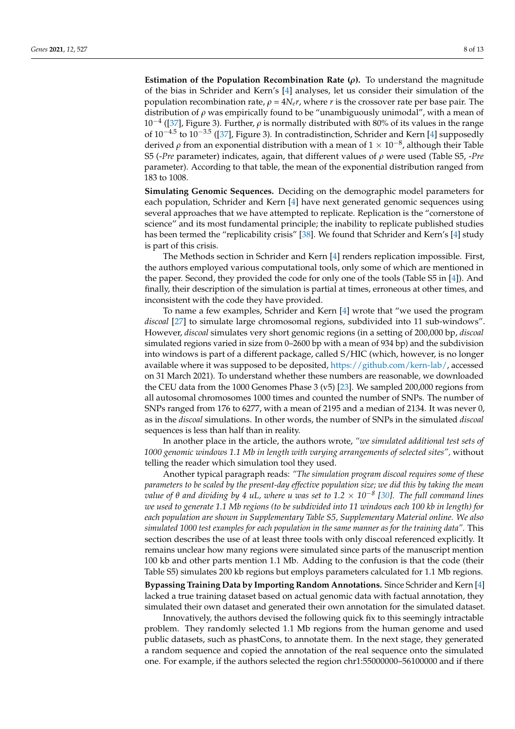**Estimation of the Population Recombination Rate (***ρ***).** To understand the magnitude of the bias in Schrider and Kern's [\[4\]](#page-11-4) analyses, let us consider their simulation of the population recombination rate,  $\rho = 4N_e r$ , where *r* is the crossover rate per base pair. The distribution of *ρ* was empirically found to be "unambiguously unimodal", with a mean of 10−<sup>4</sup> ([\[37\]](#page-12-9), Figure 3). Further, *ρ* is normally distributed with 80% of its values in the range of 10<sup>-4.5</sup> to 10<sup>-3.5</sup> ([\[37\]](#page-12-9), Figure 3). In contradistinction, Schrider and Kern [\[4\]](#page-11-4) supposedly derived  $\rho$  from an exponential distribution with a mean of  $1\times10^{-8}$ , although their Table S5 (-*Pre* parameter) indicates, again, that different values of *ρ* were used (Table S5, -*Pre* parameter). According to that table, the mean of the exponential distribution ranged from 183 to 1008.

**Simulating Genomic Sequences.** Deciding on the demographic model parameters for each population, Schrider and Kern [\[4\]](#page-11-4) have next generated genomic sequences using several approaches that we have attempted to replicate. Replication is the "cornerstone of science" and its most fundamental principle; the inability to replicate published studies has been termed the "replicability crisis" [\[38\]](#page-12-10). We found that Schrider and Kern's [\[4\]](#page-11-4) study is part of this crisis.

The Methods section in Schrider and Kern [\[4\]](#page-11-4) renders replication impossible. First, the authors employed various computational tools, only some of which are mentioned in the paper. Second, they provided the code for only one of the tools (Table S5 in [\[4\]](#page-11-4)). And finally, their description of the simulation is partial at times, erroneous at other times, and inconsistent with the code they have provided.

To name a few examples, Schrider and Kern [\[4\]](#page-11-4) wrote that "we used the program *discoal* [\[27\]](#page-12-1) to simulate large chromosomal regions, subdivided into 11 sub-windows". However, *discoal* simulates very short genomic regions (in a setting of 200,000 bp, *discoal* simulated regions varied in size from 0–2600 bp with a mean of 934 bp) and the subdivision into windows is part of a different package, called S/HIC (which, however, is no longer available where it was supposed to be deposited, [https://github.com/kern-lab/,](https://github.com/kern-lab/) accessed on 31 March 2021). To understand whether these numbers are reasonable, we downloaded the CEU data from the 1000 Genomes Phase 3 (v5) [\[23\]](#page-11-20). We sampled 200,000 regions from all autosomal chromosomes 1000 times and counted the number of SNPs. The number of SNPs ranged from 176 to 6277, with a mean of 2195 and a median of 2134. It was never 0, as in the *discoal* simulations. In other words, the number of SNPs in the simulated *discoal* sequences is less than half than in reality.

In another place in the article, the authors wrote, *"we simulated additional test sets of 1000 genomic windows 1.1 Mb in length with varying arrangements of selected sites",* without telling the reader which simulation tool they used.

Another typical paragraph reads: *"The simulation program discoal requires some of these parameters to be scaled by the present-day effective population size; we did this by taking the mean value of θ and dividing by 4 uL, where u was set to 1.2* × *10*−*<sup>8</sup> [\[30\]](#page-12-4). The full command lines we used to generate 1.1 Mb regions (to be subdivided into 11 windows each 100 kb in length) for each population are shown in Supplementary Table S5, Supplementary Material online. We also simulated 1000 test examples for each population in the same manner as for the training data".* This section describes the use of at least three tools with only discoal referenced explicitly. It remains unclear how many regions were simulated since parts of the manuscript mention 100 kb and other parts mention 1.1 Mb. Adding to the confusion is that the code (their Table S5) simulates 200 kb regions but employs parameters calculated for 1.1 Mb regions.

**Bypassing Training Data by Importing Random Annotations.** Since Schrider and Kern [\[4\]](#page-11-4) lacked a true training dataset based on actual genomic data with factual annotation, they simulated their own dataset and generated their own annotation for the simulated dataset.

Innovatively, the authors devised the following quick fix to this seemingly intractable problem. They randomly selected 1.1 Mb regions from the human genome and used public datasets, such as phastCons, to annotate them. In the next stage, they generated a random sequence and copied the annotation of the real sequence onto the simulated one. For example, if the authors selected the region chr1:55000000–56100000 and if there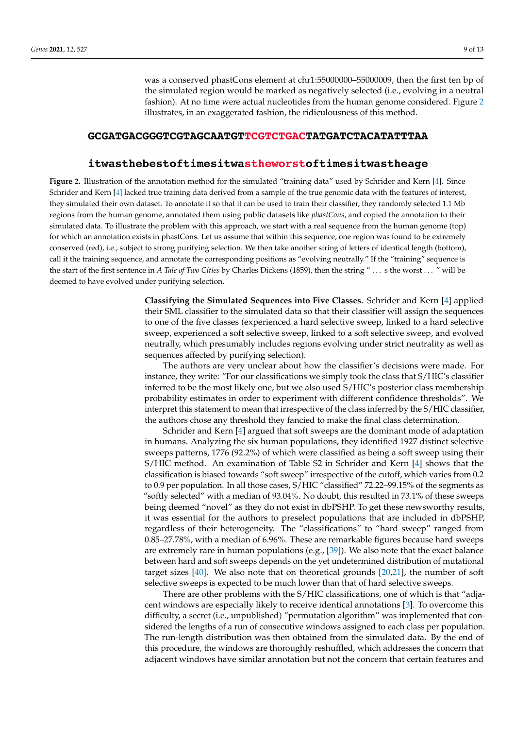was a conserved phastCons element at chr1:55000000–55000009, then the first ten bp of the simulated region would be marked as negatively selected (i.e., evolving in a neutral fashion). At no time were actual nucleotides from the human genome considered. Figure [2](#page-8-0) illustrates, in an exaggerated fashion, the ridiculousness of this method.

## <span id="page-8-0"></span>GCGATGACGGGTCGTAGCAATGTTCGTCTGACTATGATCTACATATTTAA

# itwasthebestoftimesitwastheworstoftimesitwastheage

**Figure 2.** Illustration of the annotation method for the simulated "training data" used by Schrider and Kern [\[4\]](#page-11-4). Since Schrider and Kern [\[4\]](#page-11-4) lacked true training data derived from a sample of the true genomic data with the features of interest, they simulated their own dataset. To annotate it so that it can be used to train their classifier, they randomly selected 1.1 Mb regions from the human genome, annotated them using public datasets like *phastCons*, and copied the annotation to their simulated data. To illustrate the problem with this approach, we start with a real sequence from the human genome (top) for which an annotation exists in phastCons. Let us assume that within this sequence, one region was found to be extremely conserved (red), i.e., subject to strong purifying selection. We then take another string of letters of identical length (bottom), call it the training sequence, and annotate the corresponding positions as "evolving neutrally." If the "training" sequence is the start of the first sentence in *A Tale of Two Cities* by Charles Dickens (1859), then the string " . . . s the worst . . . " will be deemed to have evolved under purifying selection.

> **Classifying the Simulated Sequences into Five Classes.** Schrider and Kern [\[4\]](#page-11-4) applied their SML classifier to the simulated data so that their classifier will assign the sequences to one of the five classes (experienced a hard selective sweep, linked to a hard selective sweep, experienced a soft selective sweep, linked to a soft selective sweep, and evolved neutrally, which presumably includes regions evolving under strict neutrality as well as sequences affected by purifying selection).

> The authors are very unclear about how the classifier's decisions were made. For instance, they write: "For our classifications we simply took the class that S/HIC's classifier inferred to be the most likely one, but we also used S/HIC's posterior class membership probability estimates in order to experiment with different confidence thresholds". We interpret this statement to mean that irrespective of the class inferred by the S/HIC classifier, the authors chose any threshold they fancied to make the final class determination.

> Schrider and Kern [\[4\]](#page-11-4) argued that soft sweeps are the dominant mode of adaptation in humans. Analyzing the six human populations, they identified 1927 distinct selective sweeps patterns, 1776 (92.2%) of which were classified as being a soft sweep using their S/HIC method. An examination of Table S2 in Schrider and Kern [\[4\]](#page-11-4) shows that the classification is biased towards "soft sweep" irrespective of the cutoff, which varies from 0.2 to 0.9 per population. In all those cases, S/HIC "classified" 72.22–99.15% of the segments as "softly selected" with a median of 93.04%. No doubt, this resulted in 73.1% of these sweeps being deemed "novel" as they do not exist in dbPSHP. To get these newsworthy results, it was essential for the authors to preselect populations that are included in dbPSHP, regardless of their heterogeneity. The "classifications" to "hard sweep" ranged from 0.85–27.78%, with a median of 6.96%. These are remarkable figures because hard sweeps are extremely rare in human populations (e.g.,  $[39]$ ). We also note that the exact balance between hard and soft sweeps depends on the yet undetermined distribution of mutational target sizes [\[40\]](#page-12-12). We also note that on theoretical grounds [\[20](#page-11-17)[,21\]](#page-11-18), the number of soft selective sweeps is expected to be much lower than that of hard selective sweeps.

> There are other problems with the S/HIC classifications, one of which is that "adjacent windows are especially likely to receive identical annotations [\[3\]](#page-11-2). To overcome this difficulty, a secret (i.e., unpublished) "permutation algorithm" was implemented that considered the lengths of a run of consecutive windows assigned to each class per population. The run-length distribution was then obtained from the simulated data. By the end of this procedure, the windows are thoroughly reshuffled, which addresses the concern that adjacent windows have similar annotation but not the concern that certain features and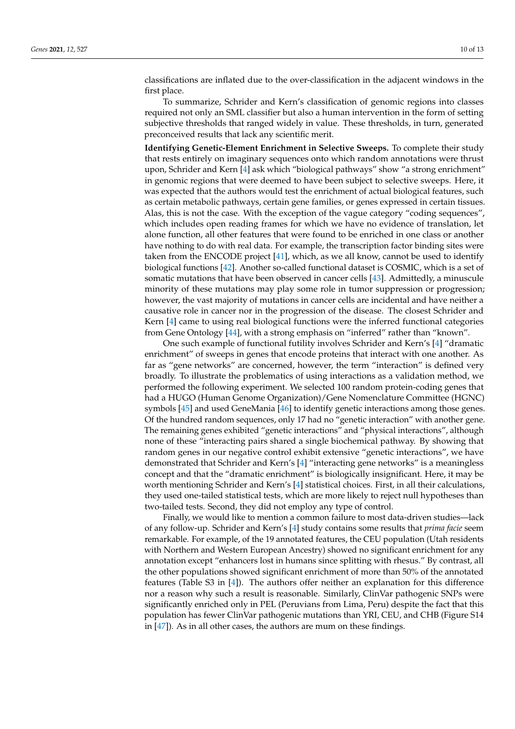classifications are inflated due to the over-classification in the adjacent windows in the first place.

To summarize, Schrider and Kern's classification of genomic regions into classes required not only an SML classifier but also a human intervention in the form of setting subjective thresholds that ranged widely in value. These thresholds, in turn, generated preconceived results that lack any scientific merit.

**Identifying Genetic-Element Enrichment in Selective Sweeps.** To complete their study that rests entirely on imaginary sequences onto which random annotations were thrust upon, Schrider and Kern [\[4\]](#page-11-4) ask which "biological pathways" show "a strong enrichment" in genomic regions that were deemed to have been subject to selective sweeps. Here, it was expected that the authors would test the enrichment of actual biological features, such as certain metabolic pathways, certain gene families, or genes expressed in certain tissues. Alas, this is not the case. With the exception of the vague category "coding sequences", which includes open reading frames for which we have no evidence of translation, let alone function, all other features that were found to be enriched in one class or another have nothing to do with real data. For example, the transcription factor binding sites were taken from the ENCODE project [\[41\]](#page-12-13), which, as we all know, cannot be used to identify biological functions [\[42\]](#page-12-14). Another so-called functional dataset is COSMIC, which is a set of somatic mutations that have been observed in cancer cells [\[43\]](#page-12-15). Admittedly, a minuscule minority of these mutations may play some role in tumor suppression or progression; however, the vast majority of mutations in cancer cells are incidental and have neither a causative role in cancer nor in the progression of the disease. The closest Schrider and Kern [\[4\]](#page-11-4) came to using real biological functions were the inferred functional categories from Gene Ontology [\[44\]](#page-12-16), with a strong emphasis on "inferred" rather than "known".

One such example of functional futility involves Schrider and Kern's [\[4\]](#page-11-4) "dramatic enrichment" of sweeps in genes that encode proteins that interact with one another. As far as "gene networks" are concerned, however, the term "interaction" is defined very broadly. To illustrate the problematics of using interactions as a validation method, we performed the following experiment. We selected 100 random protein-coding genes that had a HUGO (Human Genome Organization)/Gene Nomenclature Committee (HGNC) symbols [\[45\]](#page-12-17) and used GeneMania [\[46\]](#page-12-18) to identify genetic interactions among those genes. Of the hundred random sequences, only 17 had no "genetic interaction" with another gene. The remaining genes exhibited "genetic interactions" and "physical interactions", although none of these "interacting pairs shared a single biochemical pathway. By showing that random genes in our negative control exhibit extensive "genetic interactions", we have demonstrated that Schrider and Kern's [\[4\]](#page-11-4) "interacting gene networks" is a meaningless concept and that the "dramatic enrichment" is biologically insignificant. Here, it may be worth mentioning Schrider and Kern's [\[4\]](#page-11-4) statistical choices. First, in all their calculations, they used one-tailed statistical tests, which are more likely to reject null hypotheses than two-tailed tests. Second, they did not employ any type of control.

Finally, we would like to mention a common failure to most data-driven studies—lack of any follow-up. Schrider and Kern's [\[4\]](#page-11-4) study contains some results that *prima facie* seem remarkable. For example, of the 19 annotated features, the CEU population (Utah residents with Northern and Western European Ancestry) showed no significant enrichment for any annotation except "enhancers lost in humans since splitting with rhesus." By contrast, all the other populations showed significant enrichment of more than 50% of the annotated features (Table S3 in [\[4\]](#page-11-4)). The authors offer neither an explanation for this difference nor a reason why such a result is reasonable. Similarly, ClinVar pathogenic SNPs were significantly enriched only in PEL (Peruvians from Lima, Peru) despite the fact that this population has fewer ClinVar pathogenic mutations than YRI, CEU, and CHB (Figure S14 in [\[47\]](#page-12-19)). As in all other cases, the authors are mum on these findings.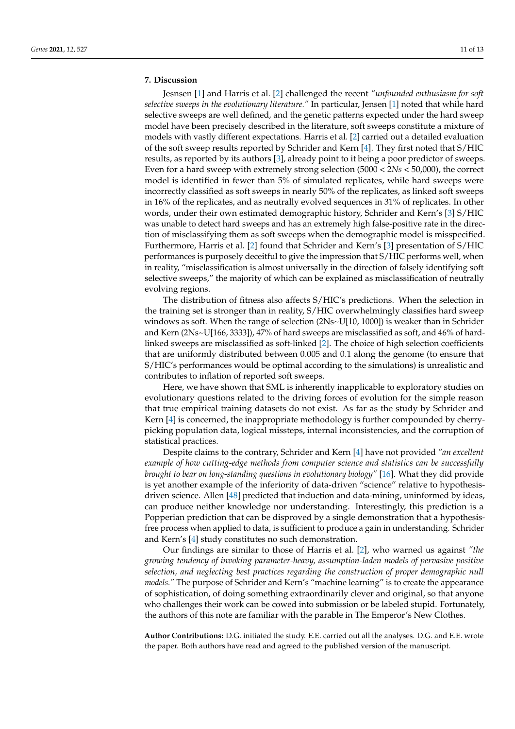# **7. Discussion**

Jesnsen [\[1\]](#page-11-0) and Harris et al. [\[2\]](#page-11-1) challenged the recent *"unfounded enthusiasm for soft selective sweeps in the evolutionary literature."* In particular, Jensen [\[1\]](#page-11-0) noted that while hard selective sweeps are well defined, and the genetic patterns expected under the hard sweep model have been precisely described in the literature, soft sweeps constitute a mixture of models with vastly different expectations. Harris et al. [\[2\]](#page-11-1) carried out a detailed evaluation of the soft sweep results reported by Schrider and Kern [\[4\]](#page-11-4). They first noted that S/HIC results, as reported by its authors [\[3\]](#page-11-2), already point to it being a poor predictor of sweeps. Even for a hard sweep with extremely strong selection (5000 < 2*Ns* < 50,000), the correct model is identified in fewer than 5% of simulated replicates, while hard sweeps were incorrectly classified as soft sweeps in nearly 50% of the replicates, as linked soft sweeps in 16% of the replicates, and as neutrally evolved sequences in 31% of replicates. In other words, under their own estimated demographic history, Schrider and Kern's [\[3\]](#page-11-2) S/HIC was unable to detect hard sweeps and has an extremely high false-positive rate in the direction of misclassifying them as soft sweeps when the demographic model is misspecified. Furthermore, Harris et al. [\[2\]](#page-11-1) found that Schrider and Kern's [\[3\]](#page-11-2) presentation of S/HIC performances is purposely deceitful to give the impression that S/HIC performs well, when in reality, "misclassification is almost universally in the direction of falsely identifying soft selective sweeps," the majority of which can be explained as misclassification of neutrally evolving regions.

The distribution of fitness also affects S/HIC's predictions. When the selection in the training set is stronger than in reality, S/HIC overwhelmingly classifies hard sweep windows as soft. When the range of selection  $(2Ns\sim U[10, 1000])$  is weaker than in Schrider and Kern (2Ns~U[166, 3333]), 47% of hard sweeps are misclassified as soft, and 46% of hardlinked sweeps are misclassified as soft-linked [\[2\]](#page-11-1). The choice of high selection coefficients that are uniformly distributed between 0.005 and 0.1 along the genome (to ensure that S/HIC's performances would be optimal according to the simulations) is unrealistic and contributes to inflation of reported soft sweeps.

Here, we have shown that SML is inherently inapplicable to exploratory studies on evolutionary questions related to the driving forces of evolution for the simple reason that true empirical training datasets do not exist. As far as the study by Schrider and Kern [\[4\]](#page-11-4) is concerned, the inappropriate methodology is further compounded by cherrypicking population data, logical missteps, internal inconsistencies, and the corruption of statistical practices.

Despite claims to the contrary, Schrider and Kern [\[4\]](#page-11-4) have not provided *"an excellent example of how cutting-edge methods from computer science and statistics can be successfully brought to bear on long-standing questions in evolutionary biology"* [\[16\]](#page-11-14). What they did provide is yet another example of the inferiority of data-driven "science" relative to hypothesisdriven science. Allen [\[48\]](#page-12-20) predicted that induction and data-mining, uninformed by ideas, can produce neither knowledge nor understanding. Interestingly, this prediction is a Popperian prediction that can be disproved by a single demonstration that a hypothesisfree process when applied to data, is sufficient to produce a gain in understanding. Schrider and Kern's [\[4\]](#page-11-4) study constitutes no such demonstration.

Our findings are similar to those of Harris et al. [\[2\]](#page-11-1), who warned us against *"the growing tendency of invoking parameter-heavy, assumption-laden models of pervasive positive selection, and neglecting best practices regarding the construction of proper demographic null models.*" The purpose of Schrider and Kern's "machine learning" is to create the appearance of sophistication, of doing something extraordinarily clever and original, so that anyone who challenges their work can be cowed into submission or be labeled stupid. Fortunately, the authors of this note are familiar with the parable in The Emperor's New Clothes.

**Author Contributions:** D.G. initiated the study. E.E. carried out all the analyses. D.G. and E.E. wrote the paper. Both authors have read and agreed to the published version of the manuscript.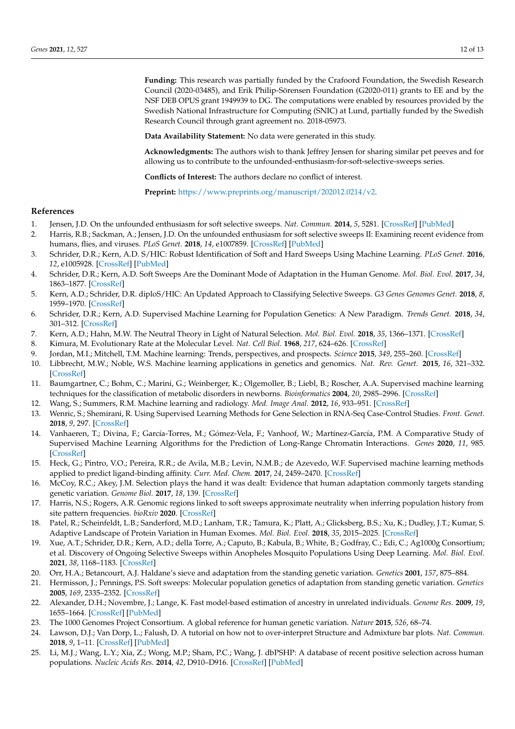**Funding:** This research was partially funded by the Crafoord Foundation, the Swedish Research Council (2020-03485), and Erik Philip-Sörensen Foundation (G2020-011) grants to EE and by the NSF DEB OPUS grant 1949939 to DG. The computations were enabled by resources provided by the Swedish National Infrastructure for Computing (SNIC) at Lund, partially funded by the Swedish Research Council through grant agreement no. 2018-05973.

**Data Availability Statement:** No data were generated in this study.

**Acknowledgments:** The authors wish to thank Jeffrey Jensen for sharing similar pet peeves and for allowing us to contribute to the unfounded-enthusiasm-for-soft-selective-sweeps series.

**Conflicts of Interest:** The authors declare no conflict of interest.

**Preprint:** [https://www.preprints.org/manuscript/202012.0214/v2.](https://www.preprints.org/manuscript/202012.0214/v2)

### **References**

- <span id="page-11-0"></span>1. Jensen, J.D. On the unfounded enthusiasm for soft selective sweeps. *Nat. Commun.* **2014**, *5*, 5281. [\[CrossRef\]](http://doi.org/10.1038/ncomms6281) [\[PubMed\]](http://www.ncbi.nlm.nih.gov/pubmed/25345443)
- <span id="page-11-1"></span>2. Harris, R.B.; Sackman, A.; Jensen, J.D. On the unfounded enthusiasm for soft selective sweeps II: Examining recent evidence from humans, flies, and viruses. *PLoS Genet.* **2018**, *14*, e1007859. [\[CrossRef\]](http://doi.org/10.1371/journal.pgen.1007859) [\[PubMed\]](http://www.ncbi.nlm.nih.gov/pubmed/30592709)
- <span id="page-11-2"></span>3. Schrider, D.R.; Kern, A.D. S/HIC: Robust Identification of Soft and Hard Sweeps Using Machine Learning. *PLoS Genet.* **2016**, *12*, e1005928. [\[CrossRef\]](http://doi.org/10.1371/journal.pgen.1005928) [\[PubMed\]](http://www.ncbi.nlm.nih.gov/pubmed/26977894)
- <span id="page-11-4"></span>4. Schrider, D.R.; Kern, A.D. Soft Sweeps Are the Dominant Mode of Adaptation in the Human Genome. *Mol. Biol. Evol.* **2017**, *34*, 1863–1877. [\[CrossRef\]](http://doi.org/10.1093/molbev/msx154)
- 5. Kern, A.D.; Schrider, D.R. diploS/HIC: An Updated Approach to Classifying Selective Sweeps. *G3 Genes Genomes Genet.* **2018**, *8*, 1959–1970. [\[CrossRef\]](http://doi.org/10.1534/g3.118.200262)
- <span id="page-11-3"></span>6. Schrider, D.R.; Kern, A.D. Supervised Machine Learning for Population Genetics: A New Paradigm. *Trends Genet.* **2018**, *34*, 301–312. [\[CrossRef\]](http://doi.org/10.1016/j.tig.2017.12.005)
- <span id="page-11-5"></span>7. Kern, A.D.; Hahn, M.W. The Neutral Theory in Light of Natural Selection. *Mol. Biol. Evol.* **2018**, *35*, 1366–1371. [\[CrossRef\]](http://doi.org/10.1093/molbev/msy092)
- <span id="page-11-6"></span>8. Kimura, M. Evolutionary Rate at the Molecular Level. *Nat. Cell Biol.* **1968**, *217*, 624–626. [\[CrossRef\]](http://doi.org/10.1038/217624a0)
- <span id="page-11-7"></span>9. Jordan, M.I.; Mitchell, T.M. Machine learning: Trends, perspectives, and prospects. *Science* **2015**, *349*, 255–260. [\[CrossRef\]](http://doi.org/10.1126/science.aaa8415)
- <span id="page-11-8"></span>10. Libbrecht, M.W.; Noble, W.S. Machine learning applications in genetics and genomics. *Nat. Rev. Genet.* **2015**, *16*, 321–332. [\[CrossRef\]](http://doi.org/10.1038/nrg3920)
- <span id="page-11-9"></span>11. Baumgartner, C.; Bohm, C.; Marini, G.; Weinberger, K.; Olgemoller, B.; Liebl, B.; Roscher, A.A. Supervised machine learning techniques for the classification of metabolic disorders in newborns. *Bioinformatics* **2004**, *20*, 2985–2996. [\[CrossRef\]](http://doi.org/10.1093/bioinformatics/bth343)
- <span id="page-11-10"></span>12. Wang, S.; Summers, R.M. Machine learning and radiology. *Med. Image Anal.* **2012**, *16*, 933–951. [\[CrossRef\]](http://doi.org/10.1016/j.media.2012.02.005)
- <span id="page-11-11"></span>13. Wenric, S.; Shemirani, R. Using Supervised Learning Methods for Gene Selection in RNA-Seq Case-Control Studies. *Front. Genet.* **2018**, *9*, 297. [\[CrossRef\]](http://doi.org/10.3389/fgene.2018.00297)
- <span id="page-11-12"></span>14. Vanhaeren, T.; Divina, F.; García-Torres, M.; Gómez-Vela, F.; Vanhoof, W.; Martínez-García, P.M. A Comparative Study of Supervised Machine Learning Algorithms for the Prediction of Long-Range Chromatin Interactions. *Genes* **2020**, *11*, 985. [\[CrossRef\]](http://doi.org/10.3390/genes11090985)
- <span id="page-11-13"></span>15. Heck, G.; Pintro, V.O.; Pereira, R.R.; de Avila, M.B.; Levin, N.M.B.; de Azevedo, W.F. Supervised machine learning methods applied to predict ligand-binding affinity. *Curr. Med. Chem.* **2017**, *24*, 2459–2470. [\[CrossRef\]](http://doi.org/10.2174/0929867324666170623092503)
- <span id="page-11-14"></span>16. McCoy, R.C.; Akey, J.M. Selection plays the hand it was dealt: Evidence that human adaptation commonly targets standing genetic variation. *Genome Biol.* **2017**, *18*, 139. [\[CrossRef\]](http://doi.org/10.1186/s13059-017-1280-5)
- <span id="page-11-15"></span>17. Harris, N.S.; Rogers, A.R. Genomic regions linked to soft sweeps approximate neutrality when inferring population history from site pattern frequencies. *bioRxiv* **2020**. [\[CrossRef\]](http://doi.org/10.1101/2020.04.21.053629)
- 18. Patel, R.; Scheinfeldt, L.B.; Sanderford, M.D.; Lanham, T.R.; Tamura, K.; Platt, A.; Glicksberg, B.S.; Xu, K.; Dudley, J.T.; Kumar, S. Adaptive Landscape of Protein Variation in Human Exomes. *Mol. Biol. Evol.* **2018**, *35*, 2015–2025. [\[CrossRef\]](http://doi.org/10.1093/molbev/msy107)
- <span id="page-11-16"></span>19. Xue, A.T.; Schrider, D.R.; Kern, A.D.; della Torre, A.; Caputo, B.; Kabula, B.; White, B.; Godfray, C.; Edi, C.; Ag1000g Consortium; et al. Discovery of Ongoing Selective Sweeps within Anopheles Mosquito Populations Using Deep Learning. *Mol. Biol. Evol.* **2021**, *38*, 1168–1183. [\[CrossRef\]](http://doi.org/10.1093/molbev/msaa259)
- <span id="page-11-17"></span>20. Orr, H.A.; Betancourt, A.J. Haldane's sieve and adaptation from the standing genetic variation. *Genetics* **2001**, *157*, 875–884.
- <span id="page-11-18"></span>21. Hermisson, J.; Pennings, P.S. Soft sweeps: Molecular population genetics of adaptation from standing genetic variation. *Genetics* **2005**, *169*, 2335–2352. [\[CrossRef\]](http://doi.org/10.1534/genetics.104.036947)
- <span id="page-11-19"></span>22. Alexander, D.H.; Novembre, J.; Lange, K. Fast model-based estimation of ancestry in unrelated individuals. *Genome Res.* **2009**, *19*, 1655–1664. [\[CrossRef\]](http://doi.org/10.1101/gr.094052.109) [\[PubMed\]](http://www.ncbi.nlm.nih.gov/pubmed/19648217)
- <span id="page-11-20"></span>23. The 1000 Genomes Project Consortium. A global reference for human genetic variation. *Nature* **2015**, *526*, 68–74.
- <span id="page-11-21"></span>24. Lawson, D.J.; Van Dorp, L.; Falush, D. A tutorial on how not to over-interpret Structure and Admixture bar plots. *Nat. Commun.* **2018**, *9*, 1–11. [\[CrossRef\]](http://doi.org/10.1038/s41467-018-05257-7) [\[PubMed\]](http://www.ncbi.nlm.nih.gov/pubmed/30108219)
- <span id="page-11-22"></span>25. Li, M.J.; Wang, L.Y.; Xia, Z.; Wong, M.P.; Sham, P.C.; Wang, J. dbPSHP: A database of recent positive selection across human populations. *Nucleic Acids Res.* **2014**, *42*, D910–D916. [\[CrossRef\]](http://doi.org/10.1093/nar/gkt1052) [\[PubMed\]](http://www.ncbi.nlm.nih.gov/pubmed/24194603)